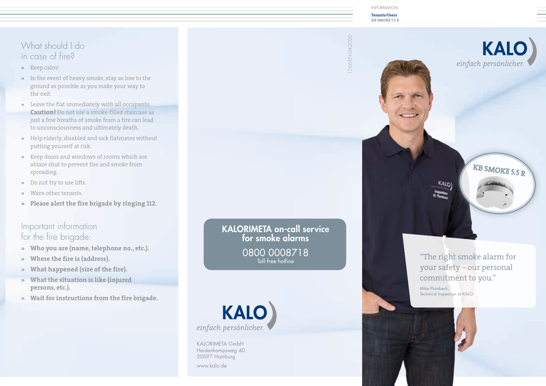## What should I do in case of fire?

- **»** Keep calm!
- **»** In the event of heavy smoke, stay as low to the ground as possible as you make your way to the exit.
- **»** Leave the flat immediately with all occupants. **Caution!** Do not use a smoke-filled staircase as just a few breaths of smoke from a fire can lead to unconsciousness and ultimately death.
- **»** Help elderly, disabled and sick flatmates without putting yourself at risk.
- **»** Keep doors and windows of rooms which are ablaze shut to prevent fire and smoke from spreading.
- **»** Do not try to use lifts.
- **»** Warn other tenants.
- **» Please alert the fire brigade by ringing 112.**

#### Important information for the fire brigade:

- **» Who you are (name, telephone no., etc.).**
- **» Where the fire is (address).**
- **» What happened (size of the fire).**
- **» What the situation is like (injured persons, etc.).**
- **» Wait for instructions from the fire brigade.**

KALORIMETA on-call service for smoke alarms 0800 0008718 Toll-free hotline



KALORIMETA GmbH Heidenkampsweg 40 20097 Hamburg

www.kalo.de

INFORMATION

**Tenants/Users KB SMOKE 5.5 R**